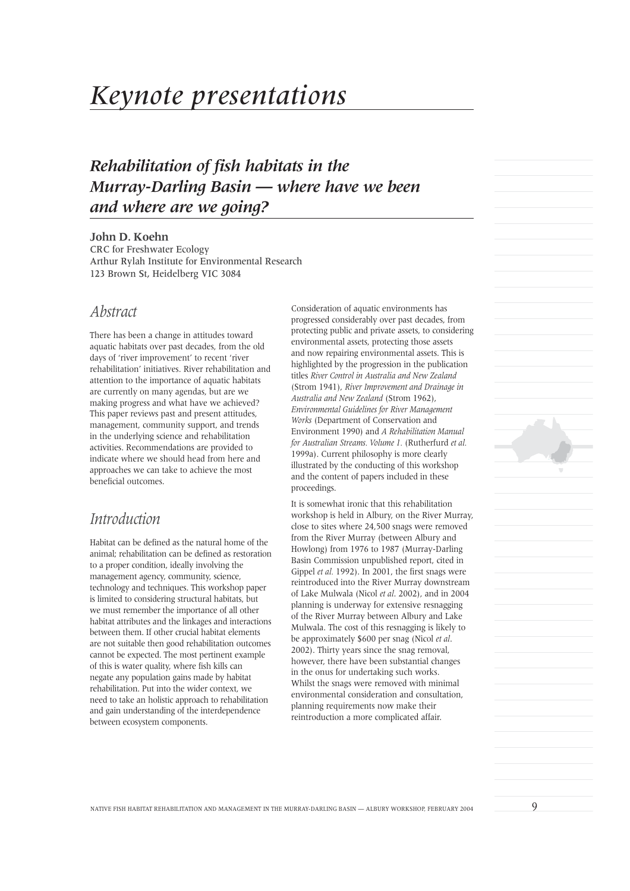# *Keynote presentations*

# *Rehabilitation of fish habitats in the Murray-Darling Basin — where have we been and where are we going?*

#### **John D. Koehn**

CRC for Freshwater Ecology Arthur Rylah Institute for Environmental Research 123 Brown St, Heidelberg VIC 3084

### *Abstract*

There has been a change in attitudes toward aquatic habitats over past decades, from the old days of 'river improvement' to recent 'river rehabilitation' initiatives. River rehabilitation and attention to the importance of aquatic habitats are currently on many agendas, but are we making progress and what have we achieved? This paper reviews past and present attitudes, management, community support, and trends in the underlying science and rehabilitation activities. Recommendations are provided to indicate where we should head from here and approaches we can take to achieve the most beneficial outcomes.

# *Introduction*

Habitat can be defined as the natural home of the animal; rehabilitation can be defined as restoration to a proper condition, ideally involving the management agency, community, science, technology and techniques. This workshop paper is limited to considering structural habitats, but we must remember the importance of all other habitat attributes and the linkages and interactions between them. If other crucial habitat elements are not suitable then good rehabilitation outcomes cannot be expected. The most pertinent example of this is water quality, where fish kills can negate any population gains made by habitat rehabilitation. Put into the wider context, we need to take an holistic approach to rehabilitation and gain understanding of the interdependence between ecosystem components.

Consideration of aquatic environments has progressed considerably over past decades, from protecting public and private assets, to considering environmental assets, protecting those assets and now repairing environmental assets. This is highlighted by the progression in the publication titles *River Control in Australia and New Zealand* (Strom 1941), *River Improvement and Drainage in Australia and New Zealand* (Strom 1962), *Environmental Guidelines for River Management Works* (Department of Conservation and Environment 1990) and *A Rehabilitation Manual for Australian Streams. Volume 1.* (Rutherfurd *et al.* 1999a). Current philosophy is more clearly illustrated by the conducting of this workshop and the content of papers included in these proceedings.

It is somewhat ironic that this rehabilitation workshop is held in Albury, on the River Murray, close to sites where 24,500 snags were removed from the River Murray (between Albury and Howlong) from 1976 to 1987 (Murray-Darling Basin Commission unpublished report, cited in Gippel *et al.* 1992). In 2001, the first snags were reintroduced into the River Murray downstream of Lake Mulwala (Nicol *et al*. 2002), and in 2004 planning is underway for extensive resnagging of the River Murray between Albury and Lake Mulwala. The cost of this resnagging is likely to be approximately \$600 per snag (Nicol *et al*. 2002). Thirty years since the snag removal, however, there have been substantial changes in the onus for undertaking such works. Whilst the snags were removed with minimal environmental consideration and consultation, planning requirements now make their reintroduction a more complicated affair.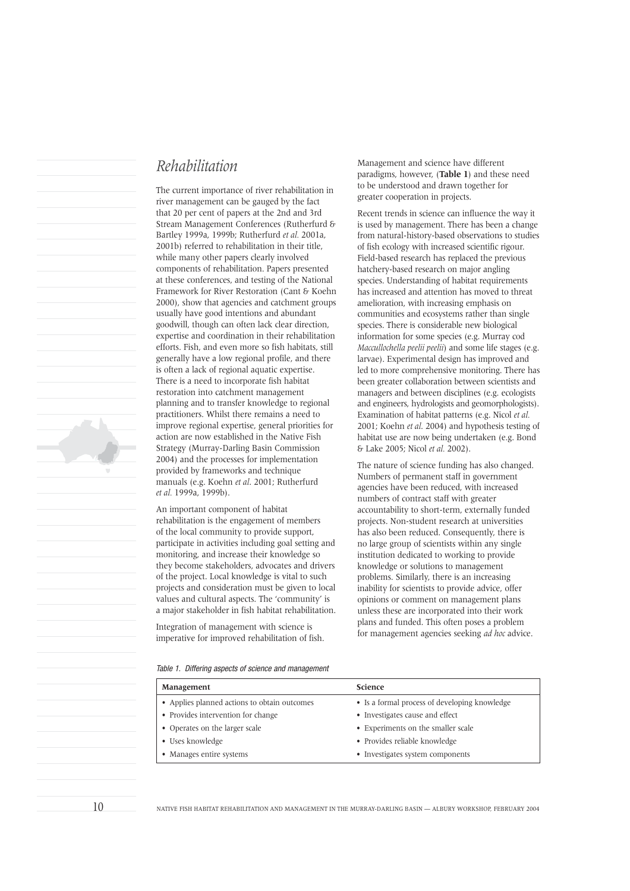# *Rehabilitation*

The current importance of river rehabilitation in river management can be gauged by the fact that 20 per cent of papers at the 2nd and 3rd Stream Management Conferences (Rutherfurd & Bartley 1999a, 1999b; Rutherfurd *et al.* 2001a, 2001b) referred to rehabilitation in their title, while many other papers clearly involved components of rehabilitation. Papers presented at these conferences, and testing of the National Framework for River Restoration (Cant & Koehn 2000), show that agencies and catchment groups usually have good intentions and abundant goodwill, though can often lack clear direction, expertise and coordination in their rehabilitation efforts. Fish, and even more so fish habitats, still generally have a low regional profile, and there is often a lack of regional aquatic expertise. There is a need to incorporate fish habitat restoration into catchment management planning and to transfer knowledge to regional practitioners. Whilst there remains a need to improve regional expertise, general priorities for action are now established in the Native Fish Strategy (Murray-Darling Basin Commission 2004) and the processes for implementation provided by frameworks and technique manuals (e.g. Koehn *et al*. 2001; Rutherfurd *et al.* 1999a, 1999b).

An important component of habitat rehabilitation is the engagement of members of the local community to provide support, participate in activities including goal setting and monitoring, and increase their knowledge so they become stakeholders, advocates and drivers of the project. Local knowledge is vital to such projects and consideration must be given to local values and cultural aspects. The 'community' is a major stakeholder in fish habitat rehabilitation.

Integration of management with science is imperative for improved rehabilitation of fish. Management and science have different paradigms, however, (**Table 1**) and these need to be understood and drawn together for greater cooperation in projects.

Recent trends in science can influence the way it is used by management. There has been a change from natural-history-based observations to studies of fish ecology with increased scientific rigour. Field-based research has replaced the previous hatchery-based research on major angling species. Understanding of habitat requirements has increased and attention has moved to threat amelioration, with increasing emphasis on communities and ecosystems rather than single species. There is considerable new biological information for some species (e.g. Murray cod *Maccullochella peelii peelii*) and some life stages (e.g. larvae). Experimental design has improved and led to more comprehensive monitoring. There has been greater collaboration between scientists and managers and between disciplines (e.g. ecologists and engineers, hydrologists and geomorphologists). Examination of habitat patterns (e.g. Nicol *et al.* 2001; Koehn *et al*. 2004) and hypothesis testing of habitat use are now being undertaken (e.g. Bond & Lake 2005; Nicol *et al.* 2002).

The nature of science funding has also changed. Numbers of permanent staff in government agencies have been reduced, with increased numbers of contract staff with greater accountability to short-term, externally funded projects. Non-student research at universities has also been reduced. Consequently, there is no large group of scientists within any single institution dedicated to working to provide knowledge or solutions to management problems. Similarly, there is an increasing inability for scientists to provide advice, offer opinions or comment on management plans unless these are incorporated into their work plans and funded. This often poses a problem for management agencies seeking *ad hoc* advice.

Table 1. Differing aspects of science and management

| Management                                   | <b>Science</b>                                |
|----------------------------------------------|-----------------------------------------------|
| • Applies planned actions to obtain outcomes | • Is a formal process of developing knowledge |
| • Provides intervention for change           | • Investigates cause and effect               |
| • Operates on the larger scale               | • Experiments on the smaller scale            |
| • Uses knowledge                             | • Provides reliable knowledge                 |
| • Manages entire systems                     | • Investigates system components              |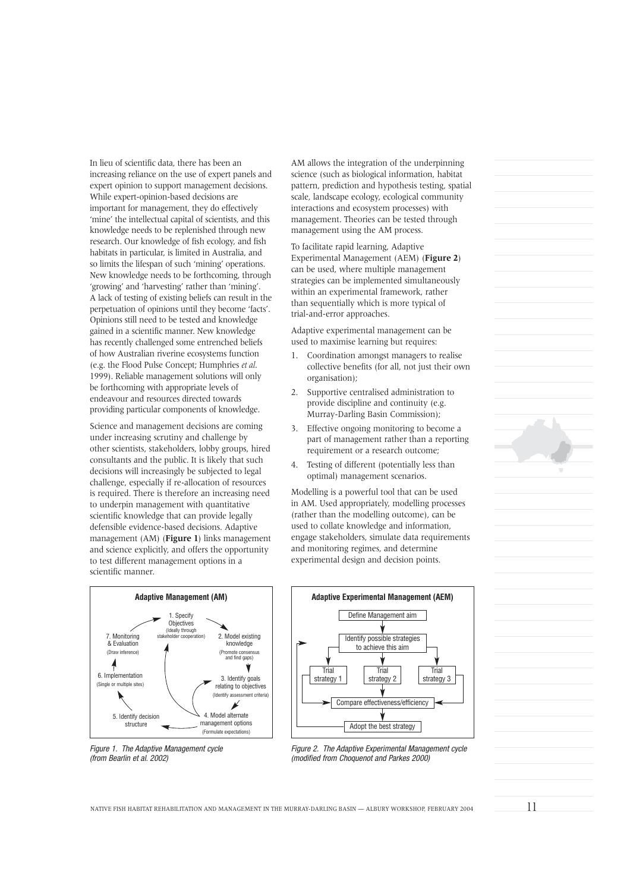In lieu of scientific data, there has been an increasing reliance on the use of expert panels and expert opinion to support management decisions. While expert-opinion-based decisions are important for management, they do effectively 'mine' the intellectual capital of scientists, and this knowledge needs to be replenished through new research. Our knowledge of fish ecology, and fish habitats in particular, is limited in Australia, and so limits the lifespan of such 'mining' operations. New knowledge needs to be forthcoming, through 'growing' and 'harvesting' rather than 'mining'. A lack of testing of existing beliefs can result in the perpetuation of opinions until they become 'facts'. Opinions still need to be tested and knowledge gained in a scientific manner. New knowledge has recently challenged some entrenched beliefs of how Australian riverine ecosystems function (e.g. the Flood Pulse Concept; Humphries *et al*. 1999). Reliable management solutions will only be forthcoming with appropriate levels of endeavour and resources directed towards providing particular components of knowledge.

Science and management decisions are coming under increasing scrutiny and challenge by other scientists, stakeholders, lobby groups, hired consultants and the public. It is likely that such decisions will increasingly be subjected to legal challenge, especially if re-allocation of resources is required. There is therefore an increasing need to underpin management with quantitative scientific knowledge that can provide legally defensible evidence-based decisions. Adaptive management (AM) (**Figure 1**) links management and science explicitly, and offers the opportunity to test different management options in a scientific manner.





AM allows the integration of the underpinning science (such as biological information, habitat pattern, prediction and hypothesis testing, spatial scale, landscape ecology, ecological community interactions and ecosystem processes) with management. Theories can be tested through management using the AM process.

To facilitate rapid learning, Adaptive Experimental Management (AEM) (**Figure 2**) can be used, where multiple management strategies can be implemented simultaneously within an experimental framework, rather than sequentially which is more typical of trial-and-error approaches.

Adaptive experimental management can be used to maximise learning but requires:

- 1. Coordination amongst managers to realise collective benefits (for all, not just their own organisation);
- 2. Supportive centralised administration to provide discipline and continuity (e.g. Murray-Darling Basin Commission);
- 3. Effective ongoing monitoring to become a part of management rather than a reporting requirement or a research outcome;
- 4. Testing of different (potentially less than optimal) management scenarios.

Modelling is a powerful tool that can be used in AM. Used appropriately, modelling processes (rather than the modelling outcome), can be used to collate knowledge and information, engage stakeholders, simulate data requirements and monitoring regimes, and determine experimental design and decision points.



Figure 2. The Adaptive Experimental Management cycle (modified from Choquenot and Parkes 2000)

NATIVE FISH HABITAT REHABILITATION AND MANAGEMENT IN THE MURRAY-DARLING BASIN — ALBURY WORKSHOP, FEBRUARY 2004  $11$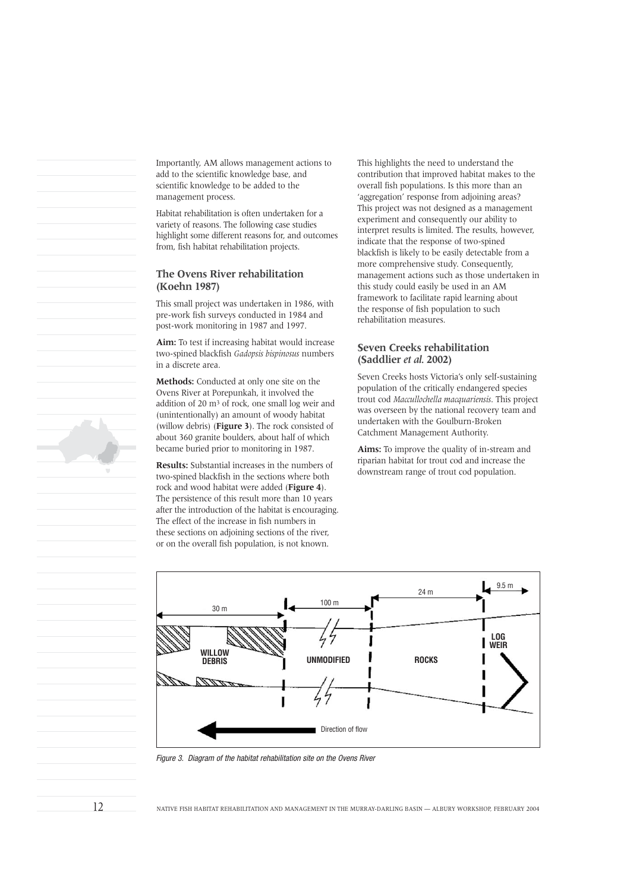Importantly, AM allows management actions to add to the scientific knowledge base, and scientific knowledge to be added to the management process.

Habitat rehabilitation is often undertaken for a variety of reasons. The following case studies highlight some different reasons for, and outcomes from, fish habitat rehabilitation projects.

#### **The Ovens River rehabilitation (Koehn 1987)**

This small project was undertaken in 1986, with pre-work fish surveys conducted in 1984 and post-work monitoring in 1987 and 1997.

**Aim:** To test if increasing habitat would increase two-spined blackfish *Gadopsis bispinosus* numbers in a discrete area.

**Methods:** Conducted at only one site on the Ovens River at Porepunkah, it involved the addition of 20 m3 of rock, one small log weir and (unintentionally) an amount of woody habitat (willow debris) (**Figure 3**). The rock consisted of about 360 granite boulders, about half of which became buried prior to monitoring in 1987.

**Results:** Substantial increases in the numbers of two-spined blackfish in the sections where both rock and wood habitat were added (**Figure 4**). The persistence of this result more than 10 years after the introduction of the habitat is encouraging. The effect of the increase in fish numbers in these sections on adjoining sections of the river, or on the overall fish population, is not known.

This highlights the need to understand the contribution that improved habitat makes to the overall fish populations. Is this more than an 'aggregation' response from adjoining areas? This project was not designed as a management experiment and consequently our ability to interpret results is limited. The results, however, indicate that the response of two-spined blackfish is likely to be easily detectable from a more comprehensive study. Consequently, management actions such as those undertaken in this study could easily be used in an AM framework to facilitate rapid learning about the response of fish population to such rehabilitation measures.

#### **Seven Creeks rehabilitation (Saddlier** *et al.* **2002)**

Seven Creeks hosts Victoria's only self-sustaining population of the critically endangered species trout cod *Maccullochella macquariensis*. This project was overseen by the national recovery team and undertaken with the Goulburn-Broken Catchment Management Authority.

**Aims:** To improve the quality of in-stream and riparian habitat for trout cod and increase the downstream range of trout cod population.



Figure 3. Diagram of the habitat rehabilitation site on the Ovens River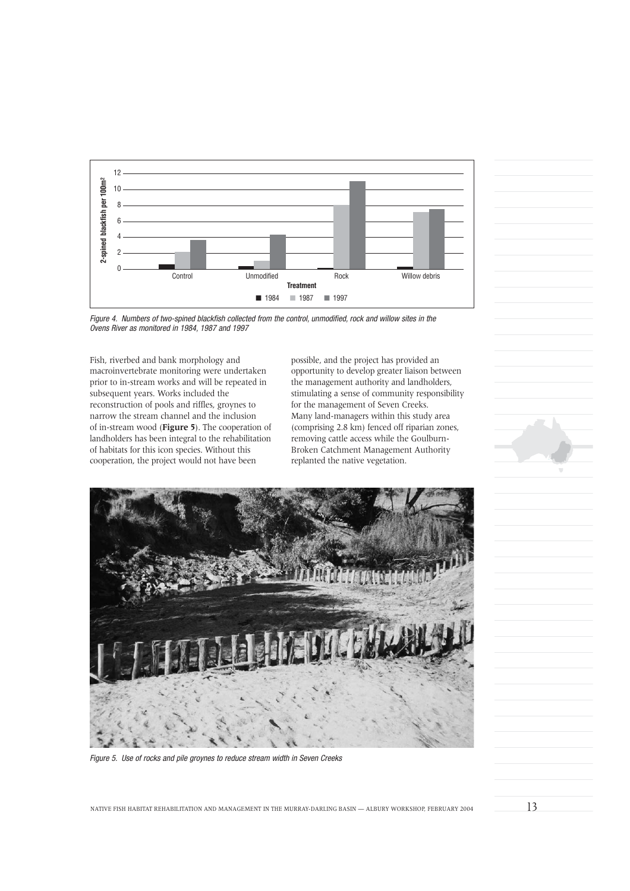

Figure 4. Numbers of two-spined blackfish collected from the control, unmodified, rock and willow sites in the

Fish, riverbed and bank morphology and macroinvertebrate monitoring were undertaken prior to in-stream works and will be repeated in subsequent years. Works included the reconstruction of pools and riffles, groynes to narrow the stream channel and the inclusion of in-stream wood (**Figure 5**). The cooperation of landholders has been integral to the rehabilitation of habitats for this icon species. Without this cooperation, the project would not have been

possible, and the project has provided an opportunity to develop greater liaison between the management authority and landholders, stimulating a sense of community responsibility for the management of Seven Creeks. Many land-managers within this study area (comprising 2.8 km) fenced off riparian zones, removing cattle access while the Goulburn-Broken Catchment Management Authority replanted the native vegetation.



Figure 5. Use of rocks and pile groynes to reduce stream width in Seven Creeks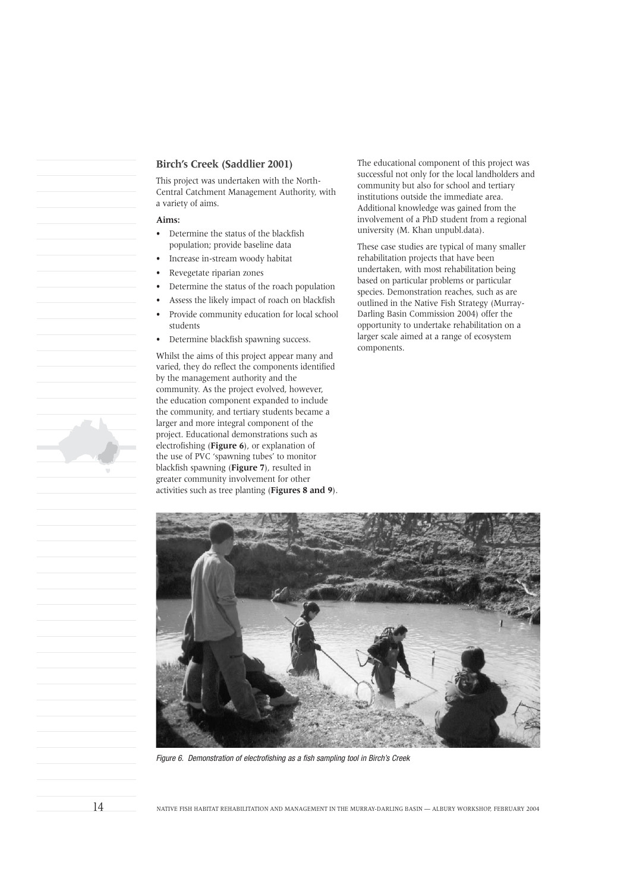#### **Birch's Creek (Saddlier 2001)**

This project was undertaken with the North-Central Catchment Management Authority, with a variety of aims.

#### **Aims:**

- Determine the status of the blackfish population; provide baseline data
- Increase in-stream woody habitat
- Revegetate riparian zones
- Determine the status of the roach population
- Assess the likely impact of roach on blackfish
- Provide community education for local school students
- Determine blackfish spawning success.

Whilst the aims of this project appear many and varied, they do reflect the components identified by the management authority and the community. As the project evolved, however, the education component expanded to include the community, and tertiary students became a larger and more integral component of the project. Educational demonstrations such as electrofishing (**Figure 6**), or explanation of the use of PVC 'spawning tubes' to monitor blackfish spawning (**Figure 7**), resulted in greater community involvement for other activities such as tree planting (**Figures 8 and 9**). The educational component of this project was successful not only for the local landholders and community but also for school and tertiary institutions outside the immediate area. Additional knowledge was gained from the involvement of a PhD student from a regional university (M. Khan unpubl.data).

These case studies are typical of many smaller rehabilitation projects that have been undertaken, with most rehabilitation being based on particular problems or particular species. Demonstration reaches, such as are outlined in the Native Fish Strategy (Murray-Darling Basin Commission 2004) offer the opportunity to undertake rehabilitation on a larger scale aimed at a range of ecosystem components.



Figure 6. Demonstration of electrofishing as a fish sampling tool in Birch's Creek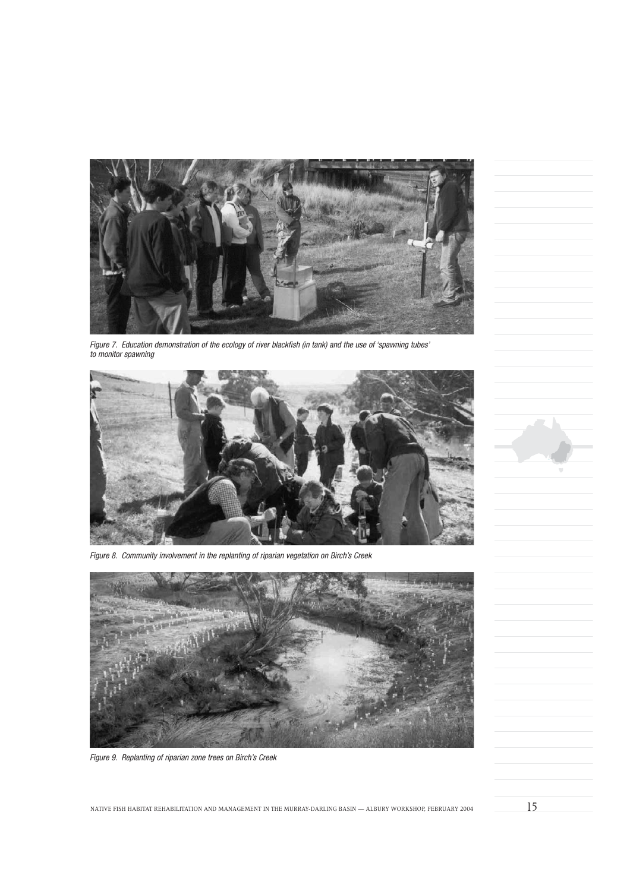

Figure 7. Education demonstration of the ecology of river blackfish (in tank) and the use of 'spawning tubes' to monitor spawning



Figure 8. Community involvement in the replanting of riparian vegetation on Birch's Creek



Figure 9. Replanting of riparian zone trees on Birch's Creek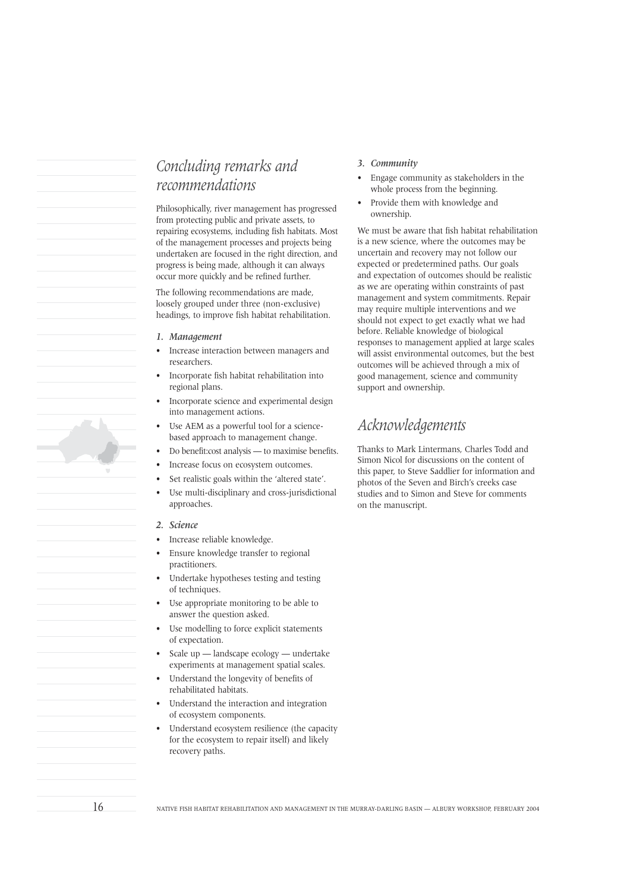# *Concluding remarks and recommendations*

Philosophically, river management has progressed from protecting public and private assets, to repairing ecosystems, including fish habitats. Most of the management processes and projects being undertaken are focused in the right direction, and progress is being made, although it can always occur more quickly and be refined further.

The following recommendations are made, loosely grouped under three (non-exclusive) headings, to improve fish habitat rehabilitation.

- *1. Management*
- Increase interaction between managers and researchers.
- Incorporate fish habitat rehabilitation into regional plans.
- Incorporate science and experimental design into management actions.
- Use AEM as a powerful tool for a sciencebased approach to management change.
- Do benefit:cost analysis to maximise benefits.
- Increase focus on ecosystem outcomes.
- Set realistic goals within the 'altered state'.
- Use multi-disciplinary and cross-jurisdictional approaches.

#### *2. Science*

- Increase reliable knowledge.
- Ensure knowledge transfer to regional practitioners.
- Undertake hypotheses testing and testing of techniques.
- Use appropriate monitoring to be able to answer the question asked.
- Use modelling to force explicit statements of expectation.
- Scale up landscape ecology undertake experiments at management spatial scales.
- Understand the longevity of benefits of rehabilitated habitats.
- Understand the interaction and integration of ecosystem components.
- Understand ecosystem resilience (the capacity for the ecosystem to repair itself) and likely recovery paths.
- *3. Community*
- Engage community as stakeholders in the whole process from the beginning.
- Provide them with knowledge and ownership.

We must be aware that fish habitat rehabilitation is a new science, where the outcomes may be uncertain and recovery may not follow our expected or predetermined paths. Our goals and expectation of outcomes should be realistic as we are operating within constraints of past management and system commitments. Repair may require multiple interventions and we should not expect to get exactly what we had before. Reliable knowledge of biological responses to management applied at large scales will assist environmental outcomes, but the best outcomes will be achieved through a mix of good management, science and community support and ownership.

# *Acknowledgements*

Thanks to Mark Lintermans, Charles Todd and Simon Nicol for discussions on the content of this paper, to Steve Saddlier for information and photos of the Seven and Birch's creeks case studies and to Simon and Steve for comments on the manuscript.